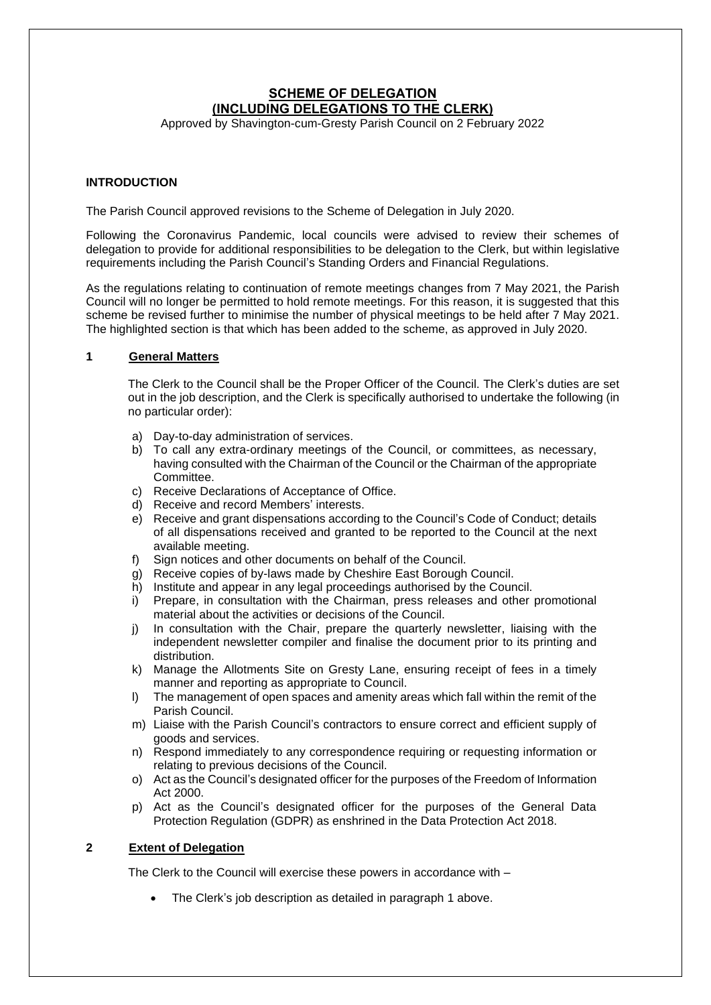# **SCHEME OF DELEGATION (INCLUDING DELEGATIONS TO THE CLERK)**

Approved by Shavington-cum-Gresty Parish Council on 2 February 2022

# **INTRODUCTION**

The Parish Council approved revisions to the Scheme of Delegation in July 2020.

Following the Coronavirus Pandemic, local councils were advised to review their schemes of delegation to provide for additional responsibilities to be delegation to the Clerk, but within legislative requirements including the Parish Council's Standing Orders and Financial Regulations.

As the regulations relating to continuation of remote meetings changes from 7 May 2021, the Parish Council will no longer be permitted to hold remote meetings. For this reason, it is suggested that this scheme be revised further to minimise the number of physical meetings to be held after 7 May 2021. The highlighted section is that which has been added to the scheme, as approved in July 2020.

## **1 General Matters**

The Clerk to the Council shall be the Proper Officer of the Council. The Clerk's duties are set out in the job description, and the Clerk is specifically authorised to undertake the following (in no particular order):

- a) Day-to-day administration of services.
- b) To call any extra-ordinary meetings of the Council, or committees, as necessary, having consulted with the Chairman of the Council or the Chairman of the appropriate Committee.
- c) Receive Declarations of Acceptance of Office.
- d) Receive and record Members' interests.
- e) Receive and grant dispensations according to the Council's Code of Conduct; details of all dispensations received and granted to be reported to the Council at the next available meeting.
- f) Sign notices and other documents on behalf of the Council.
- g) Receive copies of by-laws made by Cheshire East Borough Council.
- h) Institute and appear in any legal proceedings authorised by the Council.
- i) Prepare, in consultation with the Chairman, press releases and other promotional material about the activities or decisions of the Council.
- j) In consultation with the Chair, prepare the quarterly newsletter, liaising with the independent newsletter compiler and finalise the document prior to its printing and distribution.
- k) Manage the Allotments Site on Gresty Lane, ensuring receipt of fees in a timely manner and reporting as appropriate to Council.
- l) The management of open spaces and amenity areas which fall within the remit of the Parish Council.
- m) Liaise with the Parish Council's contractors to ensure correct and efficient supply of goods and services.
- n) Respond immediately to any correspondence requiring or requesting information or relating to previous decisions of the Council.
- o) Act as the Council's designated officer for the purposes of the Freedom of Information Act 2000.
- p) Act as the Council's designated officer for the purposes of the General Data Protection Regulation (GDPR) as enshrined in the Data Protection Act 2018.

### **2 Extent of Delegation**

The Clerk to the Council will exercise these powers in accordance with –

• The Clerk's job description as detailed in paragraph 1 above.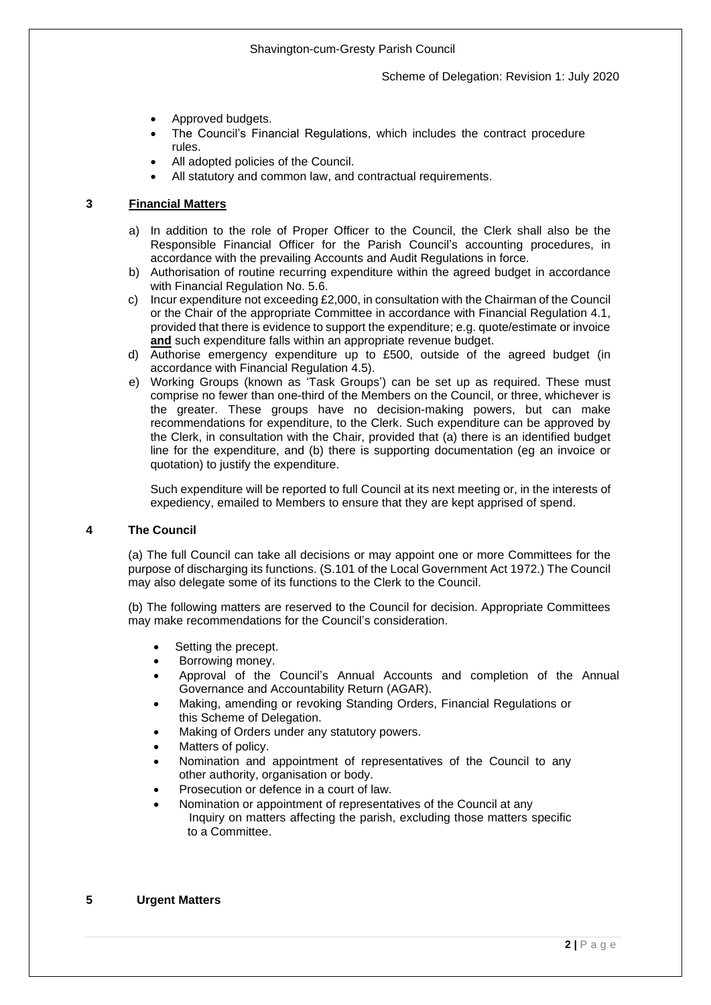- Approved budgets.
- The Council's Financial Regulations, which includes the contract procedure rules.
- All adopted policies of the Council.
- All statutory and common law, and contractual requirements.

# **3 Financial Matters**

- a) In addition to the role of Proper Officer to the Council, the Clerk shall also be the Responsible Financial Officer for the Parish Council's accounting procedures, in accordance with the prevailing Accounts and Audit Regulations in force.
- b) Authorisation of routine recurring expenditure within the agreed budget in accordance with Financial Regulation No. 5.6.
- c) Incur expenditure not exceeding £2,000, in consultation with the Chairman of the Council or the Chair of the appropriate Committee in accordance with Financial Regulation 4.1, provided that there is evidence to support the expenditure; e.g. quote/estimate or invoice **and** such expenditure falls within an appropriate revenue budget.
- d) Authorise emergency expenditure up to £500, outside of the agreed budget (in accordance with Financial Regulation 4.5).
- e) Working Groups (known as 'Task Groups') can be set up as required. These must comprise no fewer than one-third of the Members on the Council, or three, whichever is the greater. These groups have no decision-making powers, but can make recommendations for expenditure, to the Clerk. Such expenditure can be approved by the Clerk, in consultation with the Chair, provided that (a) there is an identified budget line for the expenditure, and (b) there is supporting documentation (eg an invoice or quotation) to justify the expenditure.

Such expenditure will be reported to full Council at its next meeting or, in the interests of expediency, emailed to Members to ensure that they are kept apprised of spend.

## **4 The Council**

(a) The full Council can take all decisions or may appoint one or more Committees for the purpose of discharging its functions. (S.101 of the Local Government Act 1972.) The Council may also delegate some of its functions to the Clerk to the Council.

(b) The following matters are reserved to the Council for decision. Appropriate Committees may make recommendations for the Council's consideration.

- Setting the precept.
- Borrowing money.
- Approval of the Council's Annual Accounts and completion of the Annual Governance and Accountability Return (AGAR).
- Making, amending or revoking Standing Orders, Financial Regulations or this Scheme of Delegation.
- Making of Orders under any statutory powers.
- Matters of policy.
- Nomination and appointment of representatives of the Council to any other authority, organisation or body.
- Prosecution or defence in a court of law.
- Nomination or appointment of representatives of the Council at any Inquiry on matters affecting the parish, excluding those matters specific to a Committee.

### **5 Urgent Matters**